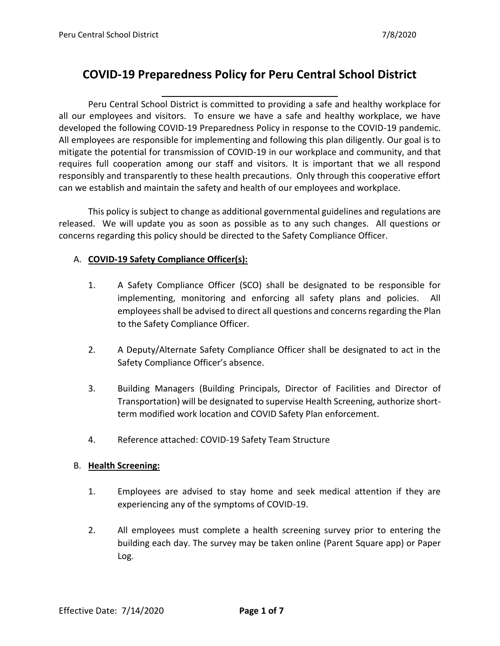# **COVID-19 Preparedness Policy for Peru Central School District**

Peru Central School District is committed to providing a safe and healthy workplace for all our employees and visitors. To ensure we have a safe and healthy workplace, we have developed the following COVID-19 Preparedness Policy in response to the COVID-19 pandemic. All employees are responsible for implementing and following this plan diligently. Our goal is to mitigate the potential for transmission of COVID-19 in our workplace and community, and that requires full cooperation among our staff and visitors. It is important that we all respond responsibly and transparently to these health precautions. Only through this cooperative effort can we establish and maintain the safety and health of our employees and workplace.

This policy is subject to change as additional governmental guidelines and regulations are released. We will update you as soon as possible as to any such changes. All questions or concerns regarding this policy should be directed to the Safety Compliance Officer.

# A. **COVID-19 Safety Compliance Officer(s):**

- 1. A Safety Compliance Officer (SCO) shall be designated to be responsible for implementing, monitoring and enforcing all safety plans and policies. All employees shall be advised to direct all questions and concerns regarding the Plan to the Safety Compliance Officer.
- 2. A Deputy/Alternate Safety Compliance Officer shall be designated to act in the Safety Compliance Officer's absence.
- 3. Building Managers (Building Principals, Director of Facilities and Director of Transportation) will be designated to supervise Health Screening, authorize shortterm modified work location and COVID Safety Plan enforcement.
- 4. Reference attached: COVID-19 Safety Team Structure

## B. **Health Screening:**

- 1. Employees are advised to stay home and seek medical attention if they are experiencing any of the symptoms of COVID-19.
- 2. All employees must complete a health screening survey prior to entering the building each day. The survey may be taken online (Parent Square app) or Paper Log.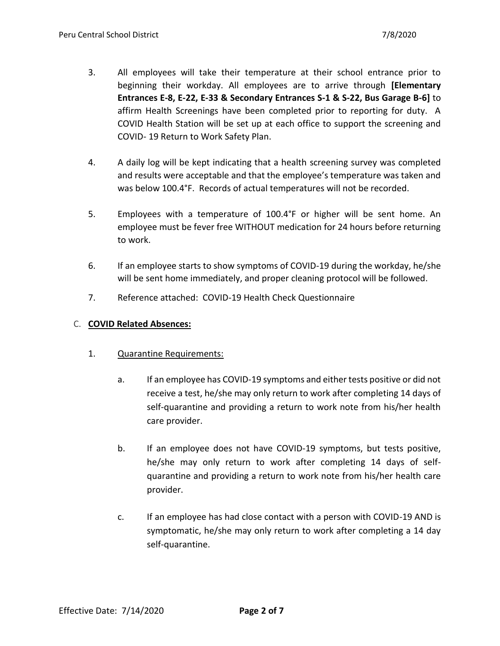- 3. All employees will take their temperature at their school entrance prior to beginning their workday. All employees are to arrive through **[Elementary Entrances E-8, E-22, E-33 & Secondary Entrances S-1 & S-22, Bus Garage B-6]** to affirm Health Screenings have been completed prior to reporting for duty. A COVID Health Station will be set up at each office to support the screening and COVID- 19 Return to Work Safety Plan.
- 4. A daily log will be kept indicating that a health screening survey was completed and results were acceptable and that the employee's temperature was taken and was below 100.4°F. Records of actual temperatures will not be recorded.
- 5. Employees with a temperature of 100.4°F or higher will be sent home. An employee must be fever free WITHOUT medication for 24 hours before returning to work.
- 6. If an employee starts to show symptoms of COVID-19 during the workday, he/she will be sent home immediately, and proper cleaning protocol will be followed.
- 7. Reference attached: COVID-19 Health Check Questionnaire

## C. **COVID Related Absences:**

# 1. Quarantine Requirements:

- a. If an employee has COVID-19 symptoms and either tests positive or did not receive a test, he/she may only return to work after completing 14 days of self-quarantine and providing a return to work note from his/her health care provider.
- b. If an employee does not have COVID-19 symptoms, but tests positive, he/she may only return to work after completing 14 days of selfquarantine and providing a return to work note from his/her health care provider.
- c. If an employee has had close contact with a person with COVID-19 AND is symptomatic, he/she may only return to work after completing a 14 day self-quarantine.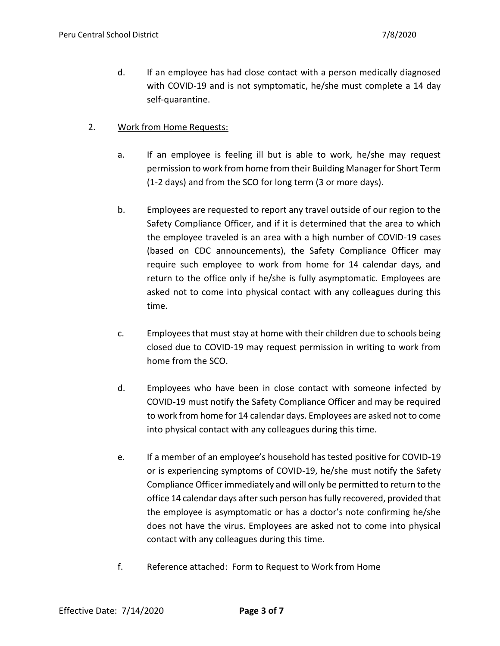- d. If an employee has had close contact with a person medically diagnosed with COVID-19 and is not symptomatic, he/she must complete a 14 day self-quarantine.
- 2. Work from Home Requests:
	- a. If an employee is feeling ill but is able to work, he/she may request permission to work from home from their Building Manager for Short Term (1-2 days) and from the SCO for long term (3 or more days).
	- b. Employees are requested to report any travel outside of our region to the Safety Compliance Officer, and if it is determined that the area to which the employee traveled is an area with a high number of COVID-19 cases (based on CDC announcements), the Safety Compliance Officer may require such employee to work from home for 14 calendar days, and return to the office only if he/she is fully asymptomatic. Employees are asked not to come into physical contact with any colleagues during this time.
	- c. Employees that must stay at home with their children due to schools being closed due to COVID-19 may request permission in writing to work from home from the SCO.
	- d. Employees who have been in close contact with someone infected by COVID-19 must notify the Safety Compliance Officer and may be required to work from home for 14 calendar days. Employees are asked not to come into physical contact with any colleagues during this time.
	- e. If a member of an employee's household has tested positive for COVID-19 or is experiencing symptoms of COVID-19, he/she must notify the Safety Compliance Officer immediately and will only be permitted to return to the office 14 calendar days after such person has fully recovered, provided that the employee is asymptomatic or has a doctor's note confirming he/she does not have the virus. Employees are asked not to come into physical contact with any colleagues during this time.
	- f. Reference attached: Form to Request to Work from Home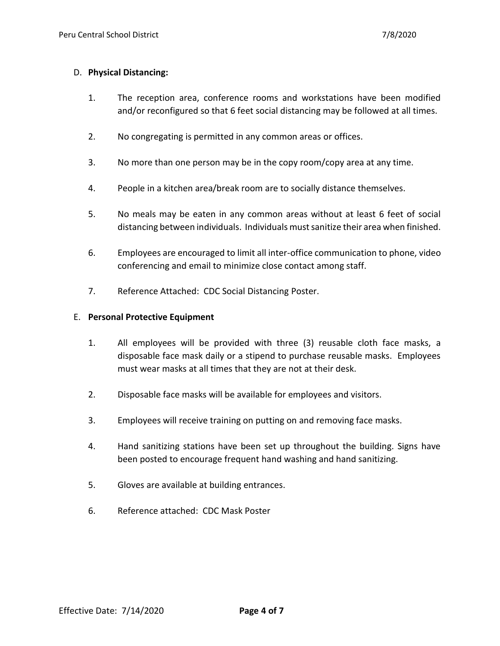## D. **Physical Distancing:**

- 1. The reception area, conference rooms and workstations have been modified and/or reconfigured so that 6 feet social distancing may be followed at all times.
- 2. No congregating is permitted in any common areas or offices.
- 3. No more than one person may be in the copy room/copy area at any time.
- 4. People in a kitchen area/break room are to socially distance themselves.
- 5. No meals may be eaten in any common areas without at least 6 feet of social distancing between individuals. Individuals must sanitize their area when finished.
- 6. Employees are encouraged to limit all inter-office communication to phone, video conferencing and email to minimize close contact among staff.
- 7. Reference Attached: CDC Social Distancing Poster.

#### E. **Personal Protective Equipment**

- 1. All employees will be provided with three (3) reusable cloth face masks, a disposable face mask daily or a stipend to purchase reusable masks. Employees must wear masks at all times that they are not at their desk.
- 2. Disposable face masks will be available for employees and visitors.
- 3. Employees will receive training on putting on and removing face masks.
- 4. Hand sanitizing stations have been set up throughout the building. Signs have been posted to encourage frequent hand washing and hand sanitizing.
- 5. Gloves are available at building entrances.
- 6. Reference attached: CDC Mask Poster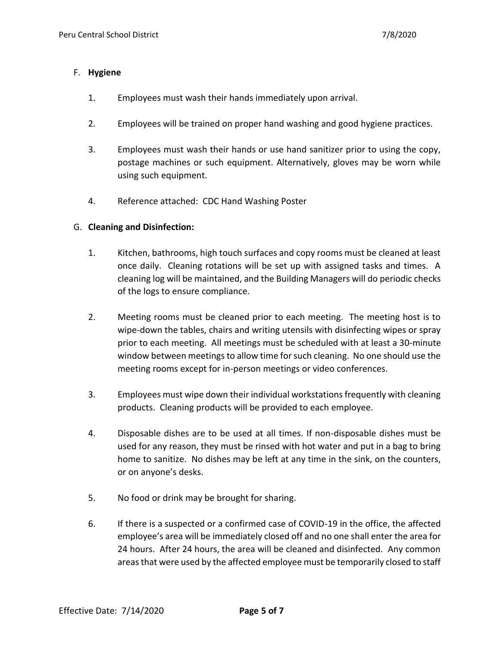## F. **Hygiene**

- 1. Employees must wash their hands immediately upon arrival.
- 2. Employees will be trained on proper hand washing and good hygiene practices.
- 3. Employees must wash their hands or use hand sanitizer prior to using the copy, postage machines or such equipment. Alternatively, gloves may be worn while using such equipment.
- 4. Reference attached: CDC Hand Washing Poster

# G. **Cleaning and Disinfection:**

- 1. Kitchen, bathrooms, high touch surfaces and copy rooms must be cleaned at least once daily. Cleaning rotations will be set up with assigned tasks and times. A cleaning log will be maintained, and the Building Managers will do periodic checks of the logs to ensure compliance.
- 2. Meeting rooms must be cleaned prior to each meeting. The meeting host is to wipe-down the tables, chairs and writing utensils with disinfecting wipes or spray prior to each meeting. All meetings must be scheduled with at least a 30-minute window between meetings to allow time for such cleaning. No one should use the meeting rooms except for in-person meetings or video conferences.
- 3. Employees must wipe down their individual workstations frequently with cleaning products. Cleaning products will be provided to each employee.
- 4. Disposable dishes are to be used at all times. If non-disposable dishes must be used for any reason, they must be rinsed with hot water and put in a bag to bring home to sanitize. No dishes may be left at any time in the sink, on the counters, or on anyone's desks.
- 5. No food or drink may be brought for sharing.
- 6. If there is a suspected or a confirmed case of COVID-19 in the office, the affected employee's area will be immediately closed off and no one shall enter the area for 24 hours. After 24 hours, the area will be cleaned and disinfected. Any common areas that were used by the affected employee must be temporarily closed to staff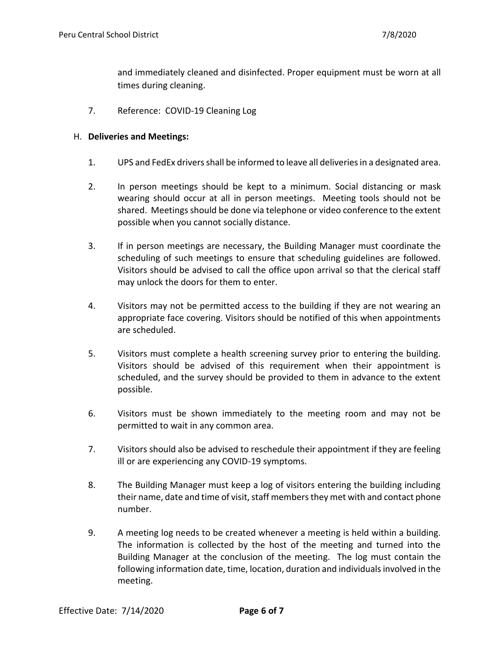and immediately cleaned and disinfected. Proper equipment must be worn at all times during cleaning.

7. Reference: COVID-19 Cleaning Log

#### H. **Deliveries and Meetings:**

- 1. UPS and FedEx drivers shall be informed to leave all deliveries in a designated area.
- 2. In person meetings should be kept to a minimum. Social distancing or mask wearing should occur at all in person meetings. Meeting tools should not be shared. Meetings should be done via telephone or video conference to the extent possible when you cannot socially distance.
- 3. If in person meetings are necessary, the Building Manager must coordinate the scheduling of such meetings to ensure that scheduling guidelines are followed. Visitors should be advised to call the office upon arrival so that the clerical staff may unlock the doors for them to enter.
- 4. Visitors may not be permitted access to the building if they are not wearing an appropriate face covering. Visitors should be notified of this when appointments are scheduled.
- 5. Visitors must complete a health screening survey prior to entering the building. Visitors should be advised of this requirement when their appointment is scheduled, and the survey should be provided to them in advance to the extent possible.
- 6. Visitors must be shown immediately to the meeting room and may not be permitted to wait in any common area.
- 7. Visitors should also be advised to reschedule their appointment if they are feeling ill or are experiencing any COVID-19 symptoms.
- 8. The Building Manager must keep a log of visitors entering the building including their name, date and time of visit, staff members they met with and contact phone number.
- 9. A meeting log needs to be created whenever a meeting is held within a building. The information is collected by the host of the meeting and turned into the Building Manager at the conclusion of the meeting. The log must contain the following information date, time, location, duration and individuals involved in the meeting.